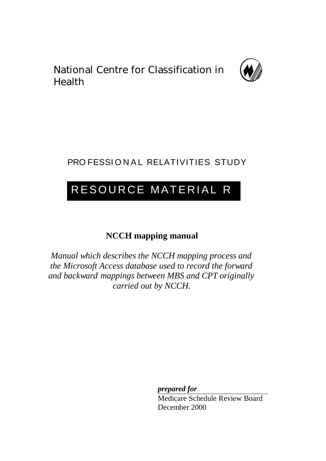National Centre for Classification in Health



# PRO FESSIONAL RELATIVITIES STUDY

# RESOURCE MATERIAL R

# **NCCH mapping manual**

*Manual which describes the NCCH mapping process and the Microsoft Access database used to record the forward and backward mappings between MBS and CPT originally carried out by NCCH.*

*prepared for*

Medicare Schedule Review Board December 2000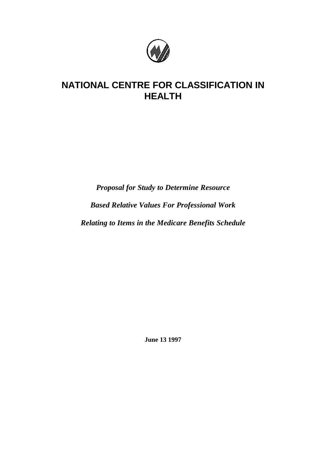

# **NATIONAL CENTRE FOR CLASSIFICATION IN HEALTH**

*Proposal for Study to Determine Resource Based Relative Values For Professional Work Relating to Items in the Medicare Benefits Schedule*

**June 13 1997**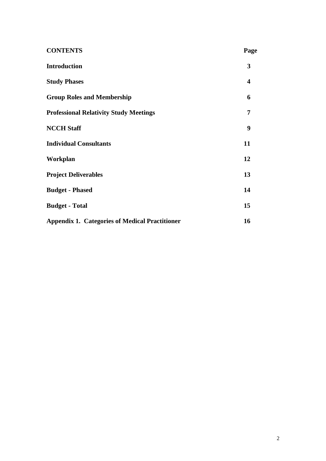| <b>CONTENTS</b>                                       | Page             |
|-------------------------------------------------------|------------------|
| <b>Introduction</b>                                   | 3                |
| <b>Study Phases</b>                                   | $\boldsymbol{4}$ |
| <b>Group Roles and Membership</b>                     | 6                |
| <b>Professional Relativity Study Meetings</b>         | 7                |
| <b>NCCH Staff</b>                                     | 9                |
| <b>Individual Consultants</b>                         | 11               |
| Workplan                                              | 12               |
| <b>Project Deliverables</b>                           | 13               |
| <b>Budget - Phased</b>                                | 14               |
| <b>Budget - Total</b>                                 | 15               |
| <b>Appendix 1. Categories of Medical Practitioner</b> | 16               |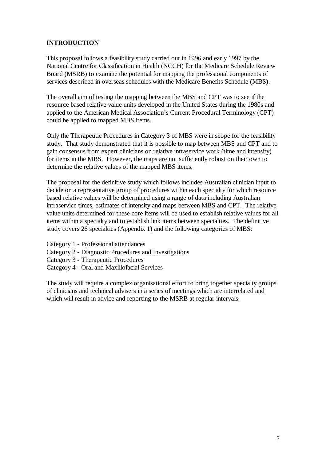#### **INTRODUCTION**

This proposal follows a feasibility study carried out in 1996 and early 1997 by the National Centre for Classification in Health (NCCH) for the Medicare Schedule Review Board (MSRB) to examine the potential for mapping the professional components of services described in overseas schedules with the Medicare Benefits Schedule (MBS).

The overall aim of testing the mapping between the MBS and CPT was to see if the resource based relative value units developed in the United States during the 1980s and applied to the American Medical Association's Current Procedural Terminology (CPT) could be applied to mapped MBS items.

Only the Therapeutic Procedures in Category 3 of MBS were in scope for the feasibility study. That study demonstrated that it is possible to map between MBS and CPT and to gain consensus from expert clinicians on relative intraservice work (time and intensity) for items in the MBS. However, the maps are not sufficiently robust on their own to determine the relative values of the mapped MBS items.

The proposal for the definitive study which follows includes Australian clinician input to decide on a representative group of procedures within each specialty for which resource based relative values will be determined using a range of data including Australian intraservice times, estimates of intensity and maps between MBS and CPT. The relative value units determined for these core items will be used to establish relative values for all items within a specialty and to establish link items between specialties. The definitive study covers 26 specialties (Appendix 1) and the following categories of MBS:

- Category 1 Professional attendances
- Category 2 Diagnostic Procedures and Investigations
- Category 3 Therapeutic Procedures
- Category 4 Oral and Maxillofacial Services

The study will require a complex organisational effort to bring together specialty groups of clinicians and technical advisers in a series of meetings which are interrelated and which will result in advice and reporting to the MSRB at regular intervals.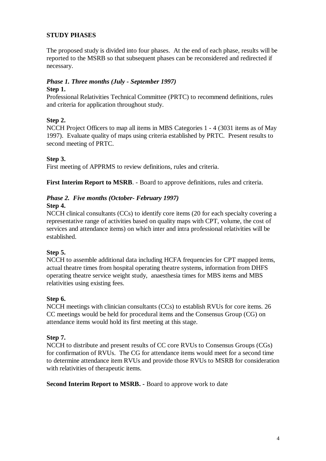#### **STUDY PHASES**

The proposed study is divided into four phases. At the end of each phase, results will be reported to the MSRB so that subsequent phases can be reconsidered and redirected if necessary.

# *Phase 1. Three months (July - September 1997)*

#### **Step 1.**

Professional Relativities Technical Committee (PRTC) to recommend definitions, rules and criteria for application throughout study.

#### **Step 2.**

NCCH Project Officers to map all items in MBS Categories 1 - 4 (3031 items as of May 1997). Evaluate quality of maps using criteria established by PRTC. Present results to second meeting of PRTC.

#### **Step 3.**

First meeting of APPRMS to review definitions, rules and criteria.

**First Interim Report to MSRB**. - Board to approve definitions, rules and criteria.

#### *Phase 2. Five months (October- February 1997)* **Step 4.**

#### NCCH clinical consultants (CCs) to identify core items (20 for each specialty covering a representative range of activities based on quality maps with CPT, volume, the cost of services and attendance items) on which inter and intra professional relativities will be established.

#### **Step 5.**

NCCH to assemble additional data including HCFA frequencies for CPT mapped items, actual theatre times from hospital operating theatre systems, information from DHFS operating theatre service weight study, anaesthesia times for MBS items and MBS relativities using existing fees.

#### **Step 6.**

NCCH meetings with clinician consultants (CCs) to establish RVUs for core items. 26 CC meetings would be held for procedural items and the Consensus Group (CG) on attendance items would hold its first meeting at this stage.

#### **Step 7.**

NCCH to distribute and present results of CC core RVUs to Consensus Groups (CGs) for confirmation of RVUs. The CG for attendance items would meet for a second time to determine attendance item RVUs and provide those RVUs to MSRB for consideration with relativities of therapeutic items.

**Second Interim Report to MSRB. -** Board to approve work to date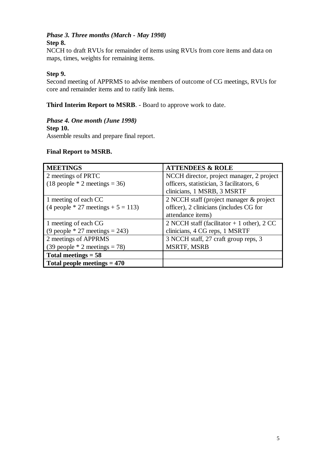# *Phase 3. Three months (March - May 1998)*

### **Step 8.**

NCCH to draft RVUs for remainder of items using RVUs from core items and data on maps, times, weights for remaining items.

#### **Step 9.**

Second meeting of APPRMS to advise members of outcome of CG meetings, RVUs for core and remainder items and to ratify link items.

**Third Interim Report to MSRB**. - Board to approve work to date.

#### *Phase 4. One month (June 1998)* **Step 10.**

Assemble results and prepare final report.

#### **Final Report to MSRB.**

| <b>MEETINGS</b>                                        | <b>ATTENDEES &amp; ROLE</b>                 |
|--------------------------------------------------------|---------------------------------------------|
| 2 meetings of PRTC                                     | NCCH director, project manager, 2 project   |
| $(18 \text{ people } * 2 \text{ meetings} = 36)$       | officers, statistician, 3 facilitators, 6   |
|                                                        | clinicians, 1 MSRB, 3 MSRTF                 |
| 1 meeting of each CC                                   | 2 NCCH staff (project manager & project)    |
| $(4 \text{ people } * 27 \text{ meetings } + 5 = 113)$ | officer), 2 clinicians (includes CG for     |
|                                                        | attendance items)                           |
| 1 meeting of each CG                                   | 2 NCCH staff (facilitator $+1$ other), 2 CC |
| $(9$ people * 27 meetings = 243)                       | clinicians, 4 CG reps, 1 MSRTF              |
| 2 meetings of APPRMS                                   | 3 NCCH staff, 27 craft group reps, 3        |
| $(39 \text{ people } * 2 \text{ meetings} = 78)$       | <b>MSRTF, MSRB</b>                          |
| Total meetings $= 58$                                  |                                             |
| Total people meetings $= 470$                          |                                             |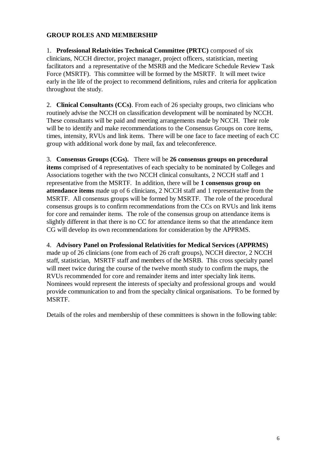#### **GROUP ROLES AND MEMBERSHIP**

1. **Professional Relativities Technical Committee (PRTC)** composed of six clinicians, NCCH director, project manager, project officers, statistician, meeting facilitators and a representative of the MSRB and the Medicare Schedule Review Task Force (MSRTF). This committee will be formed by the MSRTF. It will meet twice early in the life of the project to recommend definitions, rules and criteria for application throughout the study.

2. **Clinical Consultants (CCs)**. From each of 26 specialty groups, two clinicians who routinely advise the NCCH on classification development will be nominated by NCCH. These consultants will be paid and meeting arrangements made by NCCH. Their role will be to identify and make recommendations to the Consensus Groups on core items, times, intensity, RVUs and link items. There will be one face to face meeting of each CC group with additional work done by mail, fax and teleconference.

3. **Consensus Groups (CGs).** There will be **26 consensus groups on procedural items** comprised of 4 representatives of each specialty to be nominated by Colleges and Associations together with the two NCCH clinical consultants, 2 NCCH staff and 1 representative from the MSRTF. In addition, there will be **1 consensus group on attendance items** made up of 6 clinicians, 2 NCCH staff and 1 representative from the MSRTF. All consensus groups will be formed by MSRTF. The role of the procedural consensus groups is to confirm recommendations from the CCs on RVUs and link items for core and remainder items. The role of the consensus group on attendance items is slightly different in that there is no CC for attendance items so that the attendance item CG will develop its own recommendations for consideration by the APPRMS.

#### 4. **Advisory Panel on Professional Relativities for Medical Services (APPRMS)**

made up of 26 clinicians (one from each of 26 craft groups), NCCH director, 2 NCCH staff, statistician, MSRTF staff and members of the MSRB. This cross specialty panel will meet twice during the course of the twelve month study to confirm the maps, the RVUs recommended for core and remainder items and inter specialty link items. Nominees would represent the interests of specialty and professional groups and would provide communication to and from the specialty clinical organisations. To be formed by MSRTF.

Details of the roles and membership of these committees is shown in the following table: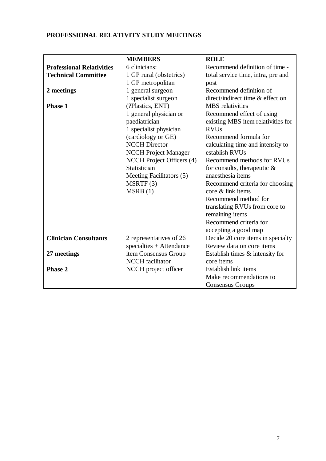## **PROFESSIONAL RELATIVITY STUDY MEETINGS**

|                                  | <b>MEMBERS</b>              | <b>ROLE</b>                        |
|----------------------------------|-----------------------------|------------------------------------|
| <b>Professional Relativities</b> | 6 clinicians:               | Recommend definition of time -     |
| <b>Technical Committee</b>       | 1 GP rural (obstetrics)     | total service time, intra, pre and |
|                                  | 1 GP metropolitan           | post                               |
| 2 meetings                       | 1 general surgeon           | Recommend definition of            |
|                                  | 1 specialist surgeon        | direct/indirect time & effect on   |
| <b>Phase 1</b>                   | (?Plastics, ENT)            | <b>MBS</b> relativities            |
|                                  | 1 general physician or      | Recommend effect of using          |
|                                  | paediatrician               | existing MBS item relativities for |
|                                  | 1 specialist physician      | <b>RVUs</b>                        |
|                                  | (cardiology or GE)          | Recommend formula for              |
|                                  | <b>NCCH</b> Director        | calculating time and intensity to  |
|                                  | <b>NCCH Project Manager</b> | establish RVUs                     |
|                                  | NCCH Project Officers (4)   | Recommend methods for RVUs         |
|                                  | Statistician                | for consults, therapeutic $\&$     |
|                                  | Meeting Facilitators (5)    | anaesthesia items                  |
|                                  | MSRTF(3)                    | Recommend criteria for choosing    |
|                                  | MSRB(1)                     | core & link items                  |
|                                  |                             | Recommend method for               |
|                                  |                             | translating RVUs from core to      |
|                                  |                             | remaining items                    |
|                                  |                             | Recommend criteria for             |
|                                  |                             | accepting a good map               |
| <b>Clinician Consultants</b>     | 2 representatives of 26     | Decide 20 core items in specialty  |
|                                  | specialties + Attendance    | Review data on core items          |
| 27 meetings                      | item Consensus Group        | Establish times & intensity for    |
|                                  | <b>NCCH</b> facilitator     | core items                         |
| Phase 2                          | NCCH project officer        | Establish link items               |
|                                  |                             | Make recommendations to            |
|                                  |                             | <b>Consensus Groups</b>            |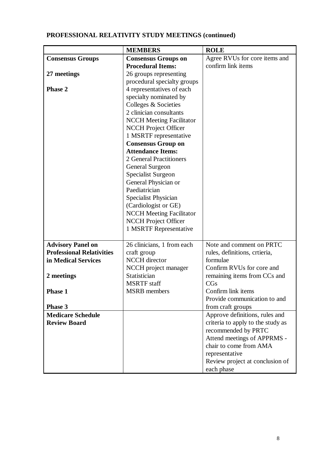## **PROFESSIONAL RELATIVITY STUDY MEETINGS (continued)**

|                                  | <b>MEMBERS</b>                  | <b>ROLE</b>                       |
|----------------------------------|---------------------------------|-----------------------------------|
| <b>Consensus Groups</b>          | <b>Consensus Groups on</b>      | Agree RVUs for core items and     |
|                                  | <b>Procedural Items:</b>        | confirm link items                |
| 27 meetings                      | 26 groups representing          |                                   |
|                                  | procedural specialty groups     |                                   |
| <b>Phase 2</b>                   | 4 representatives of each       |                                   |
|                                  | specialty nominated by          |                                   |
|                                  | Colleges & Societies            |                                   |
|                                  | 2 clinician consultants         |                                   |
|                                  | <b>NCCH Meeting Facilitator</b> |                                   |
|                                  | <b>NCCH</b> Project Officer     |                                   |
|                                  | 1 MSRTF representative          |                                   |
|                                  | <b>Consensus Group on</b>       |                                   |
|                                  | <b>Attendance Items:</b>        |                                   |
|                                  | 2 General Practitioners         |                                   |
|                                  | General Surgeon                 |                                   |
|                                  | Specialist Surgeon              |                                   |
|                                  | General Physician or            |                                   |
|                                  | Paediatrician                   |                                   |
|                                  | Specialist Physician            |                                   |
|                                  | (Cardiologist or GE)            |                                   |
|                                  | <b>NCCH Meeting Facilitator</b> |                                   |
|                                  | <b>NCCH Project Officer</b>     |                                   |
|                                  | 1 MSRTF Representative          |                                   |
|                                  |                                 |                                   |
| <b>Advisory Panel on</b>         | 26 clinicians, 1 from each      | Note and comment on PRTC          |
| <b>Professional Relativities</b> | craft group                     | rules, definitions, crtieria,     |
| in Medical Services              | <b>NCCH</b> director            | formulae                          |
|                                  | NCCH project manager            | Confirm RVUs for core and         |
| 2 meetings                       | Statistician                    | remaining items from CCs and      |
|                                  | <b>MSRTF</b> staff              | CGs                               |
| Phase 1                          | <b>MSRB</b> members             | Confirm link items                |
|                                  |                                 | Provide communication to and      |
| Phase 3                          |                                 | from craft groups                 |
| <b>Medicare Schedule</b>         |                                 | Approve definitions, rules and    |
| <b>Review Board</b>              |                                 | criteria to apply to the study as |
|                                  |                                 | recommended by PRTC               |
|                                  |                                 | Attend meetings of APPRMS -       |
|                                  |                                 | chair to come from AMA            |
|                                  |                                 | representative                    |
|                                  |                                 | Review project at conclusion of   |
|                                  |                                 | each phase                        |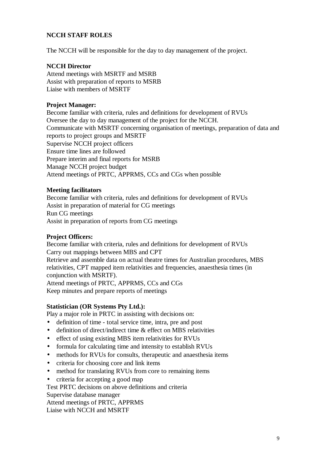#### **NCCH STAFF ROLES**

The NCCH will be responsible for the day to day management of the project.

#### **NCCH Director**

Attend meetings with MSRTF and MSRB Assist with preparation of reports to MSRB Liaise with members of MSRTF

#### **Project Manager:**

Become familiar with criteria, rules and definitions for development of RVUs Oversee the day to day management of the project for the NCCH. Communicate with MSRTF concerning organisation of meetings, preparation of data and reports to project groups and MSRTF Supervise NCCH project officers Ensure time lines are followed Prepare interim and final reports for MSRB Manage NCCH project budget Attend meetings of PRTC, APPRMS, CCs and CGs when possible

#### **Meeting facilitators**

Become familiar with criteria, rules and definitions for development of RVUs Assist in preparation of material for CG meetings Run CG meetings Assist in preparation of reports from CG meetings

#### **Project Officers:**

Become familiar with criteria, rules and definitions for development of RVUs Carry out mappings between MBS and CPT Retrieve and assemble data on actual theatre times for Australian procedures, MBS relativities, CPT mapped item relativities and frequencies, anaesthesia times (in conjunction with MSRTF). Attend meetings of PRTC, APPRMS, CCs and CGs Keep minutes and prepare reports of meetings

#### **Statistician (OR Systems Pty Ltd.):**

Play a major role in PRTC in assisting with decisions on:

- definition of time total service time, intra, pre and post
- definition of direct/indirect time & effect on MBS relativities
- effect of using existing MBS item relativities for RVUs
- formula for calculating time and intensity to establish RVUs
- methods for RVUs for consults, therapeutic and anaesthesia items
- criteria for choosing core and link items
- method for translating RVUs from core to remaining items
- criteria for accepting a good map

Test PRTC decisions on above definitions and criteria

Supervise database manager

Attend meetings of PRTC, APPRMS

Liaise with NCCH and MSRTF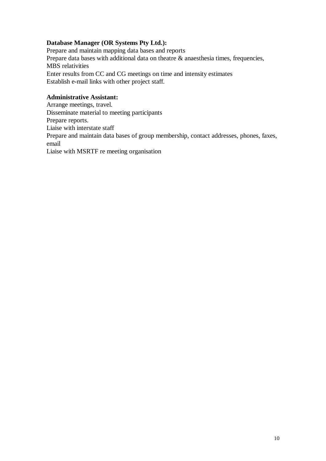#### **Database Manager (OR Systems Pty Ltd.):**

Prepare and maintain mapping data bases and reports Prepare data bases with additional data on theatre  $\&$  anaesthesia times, frequencies, MBS relativities Enter results from CC and CG meetings on time and intensity estimates Establish e-mail links with other project staff.

#### **Administrative Assistant:**

Arrange meetings, travel.

Disseminate material to meeting participants

Prepare reports.

Liaise with interstate staff

Prepare and maintain data bases of group membership, contact addresses, phones, faxes, email

Liaise with MSRTF re meeting organisation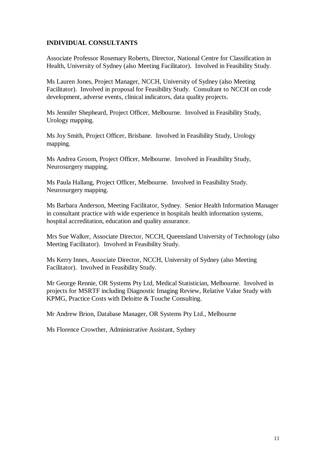#### **INDIVIDUAL CONSULTANTS**

Associate Professor Rosemary Roberts, Director, National Centre for Classification in Health, University of Sydney (also Meeting Facilitator). Involved in Feasibility Study.

Ms Lauren Jones, Project Manager, NCCH, University of Sydney (also Meeting Facilitator). Involved in proposal for Feasibility Study. Consultant to NCCH on code development, adverse events, clinical indicators, data quality projects.

Ms Jennifer Shepheard, Project Officer, Melbourne. Involved in Feasibility Study, Urology mapping.

Ms Joy Smith, Project Officer, Brisbane. Involved in Feasibility Study, Urology mapping.

Ms Andrea Groom, Project Officer, Melbourne. Involved in Feasibility Study, Neurosurgery mapping.

Ms Paula Hallang, Project Officer, Melbourne. Involved in Feasibility Study. Neurosurgery mapping.

Ms Barbara Anderson, Meeting Facilitator, Sydney. Senior Health Information Manager in consultant practice with wide experience in hospitals health information systems, hospital accreditation, education and quality assurance.

Mrs Sue Walker, Associate Director, NCCH, Queensland University of Technology (also Meeting Facilitator). Involved in Feasibility Study.

Ms Kerry Innes, Associate Director, NCCH, University of Sydney (also Meeting Facilitator). Involved in Feasibility Study.

Mr George Rennie, OR Systems Pty Ltd, Medical Statistician, Melbourne. Involved in projects for MSRTF including Diagnostic Imaging Review, Relative Value Study with KPMG, Practice Costs with Deloitte & Touche Consulting.

Mr Andrew Brion, Database Manager, OR Systems Pty Ltd., Melbourne

Ms Florence Crowther, Administrative Assistant, Sydney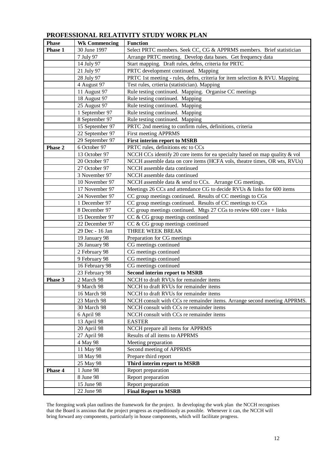## **PROFESSIONAL RELATIVITY STUDY WORK PLAN**

| <b>Phase</b> | <b>Wk Commencing</b> | <b>Function</b>                                                                                |
|--------------|----------------------|------------------------------------------------------------------------------------------------|
| Phase 1      | 30 June 1997         | Select PRTC members. Seek CC, CG & APPRMS members. Brief statistician                          |
|              | 7 July 97            | Arrange PRTC meeting. Develop data bases. Get frequency data                                   |
|              | 14 July 97           | Start mapping. Draft rules, defns, criteria for PRTC                                           |
|              | 21 July 97           | PRTC development continued. Mapping                                                            |
|              | 28 July 97           | PRTC 1st meeting - rules, defns, criteria for item selection & RVU. Mapping                    |
|              | 4 August 97          | Test rules, crtieria (statistician). Mapping                                                   |
|              | 11 August 97         | Rule testing continued. Mapping. Organise CC meetings                                          |
|              | 18 August 97         | Rule testing continued. Mapping                                                                |
|              | 25 August 97         | Rule testing continued. Mapping                                                                |
|              | 1 September 97       | Rule testing continued. Mapping                                                                |
|              | 8 September 97       | Rule testing continued. Mapping                                                                |
|              | 15 September 97      | PRTC 2nd meeting to confirm rules, definitions, criteria                                       |
|              | 22 September 97      | First meeting APPRMS                                                                           |
|              | 29 September 97      | <b>First interim report to MSRB</b>                                                            |
| Phase 2      | 6 October 97         | PRTC rules, definitions etc to CCs                                                             |
|              | 13 October 97        | NCCH CCs identify 20 core items for ea specialty based on map quality & vol                    |
|              | 20 October 97        | NCCH assemble data on core items (HCFA vols, theatre times, OR wts, RVUs)                      |
|              | 27 October 97        | NCCH assemble data continued                                                                   |
|              | 3 November 97        | NCCH assemble data continued                                                                   |
|              | 10 November 97       | NCCH assemble data & send to CCs. Arrange CG meetings.                                         |
|              | 17 November 97       | Meetings 26 CCs and attendance CG to decide RVUs & links for 600 items                         |
|              | 24 November 97       | CC group meetings continued. Results of CC meetings to CGs                                     |
|              | 1 December 97        | CC group meetings continued. Results of CC meetings to CGs                                     |
|              | 8 December 97        | CC group meetings continued. Mtgs $27 \text{ CGs}$ to review $600 \text{ core} + \text{links}$ |
|              | 15 December 97       | CC & CG group meetings continued                                                               |
|              | 22 December 97       | CC & CG group meetings continued                                                               |
|              | 29 Dec - 16 Jan      | THREE WEEK BREAK                                                                               |
|              | 19 January 98        | Preparation for CG meetings                                                                    |
|              | 26 January 98        | CG meetings continued                                                                          |
|              | 2 February 98        | CG meetings continued                                                                          |
|              | 9 February 98        | CG meetings continued                                                                          |
|              | 16 February 98       | CG meetings continued                                                                          |
|              | 23 February 98       | <b>Second interim report to MSRB</b>                                                           |
| Phase 3      | 2 March 98           | NCCH to draft RVUs for remainder items                                                         |
|              | 9 March 98           | NCCH to draft RVUs for remainder items                                                         |
|              | 16 March 98          | NCCH to draft RVUs for remainder items                                                         |
|              | 23 March 98          | NCCH consult with CCs re remainder items. Arrange second meeting APPRMS.                       |
|              | 30 March 98          | NCCH consult with CCs re remainder items                                                       |
|              | 6 April 98           | NCCH consult with CCs re remainder items                                                       |
|              | 13 April 98          | <b>EASTER</b>                                                                                  |
|              | 20 April 98          | NCCH prepare all items for APPRMS                                                              |
|              | 27 April 98          | Results of all items to APPRMS                                                                 |
|              | 4 May 98             | Meeting preparation                                                                            |
|              | 11 May 98            | Second meeting of APPRMS                                                                       |
|              | 18 May 98            | Prepare third report                                                                           |
|              | 25 May 98            | Third interim report to MSRB                                                                   |
| Phase 4      | 1 June 98            | Report preparation                                                                             |
|              | 8 June 98            | Report preparation                                                                             |
|              | 15 June 98           | Report preparation                                                                             |
|              | 22 June 98           | <b>Final Report to MSRB</b>                                                                    |
|              |                      |                                                                                                |

The foregoing work plan outlines the framework for the project. In developing the work plan the NCCH recognises that the Board is anxious that the project progress as expeditiously as possible. Whenever it can, the NCCH will bring forward any components, particularly in house components, which will facilitate progress.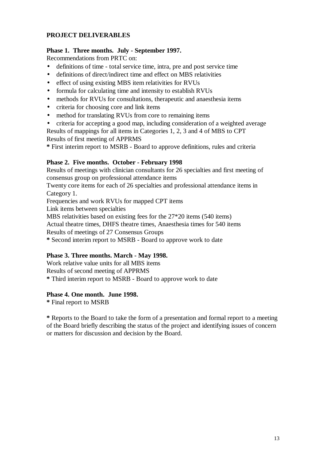#### **PROJECT DELIVERABLES**

#### **Phase 1. Three months. July - September 1997.**

Recommendations from PRTC on:

- definitions of time total service time, intra, pre and post service time
- definitions of direct/indirect time and effect on MBS relativities
- effect of using existing MBS item relativities for RVUs
- formula for calculating time and intensity to establish RVUs
- methods for RVUs for consultations, therapeutic and anaesthesia items
- criteria for choosing core and link items
- method for translating RVUs from core to remaining items
- criteria for accepting a good map, including consideration of a weighted average

Results of mappings for all items in Categories 1, 2, 3 and 4 of MBS to CPT Results of first meeting of APPRMS

**\*** First interim report to MSRB - Board to approve definitions, rules and criteria

#### **Phase 2. Five months. October - February 1998**

Results of meetings with clinician consultants for 26 specialties and first meeting of consensus group on professional attendance items

Twenty core items for each of 26 specialties and professional attendance items in Category 1.

Frequencies and work RVUs for mapped CPT items

Link items between specialties

MBS relativities based on existing fees for the 27\*20 items (540 items)

Actual theatre times, DHFS theatre times, Anaesthesia times for 540 items

Results of meetings of 27 Consensus Groups

**\*** Second interim report to MSRB - Board to approve work to date

#### **Phase 3. Three months. March - May 1998.**

Work relative value units for all MBS items Results of second meeting of APPRMS **\*** Third interim report to MSRB - Board to approve work to date

#### **Phase 4. One month. June 1998.**

**\*** Final report to MSRB

**\*** Reports to the Board to take the form of a presentation and formal report to a meeting of the Board briefly describing the status of the project and identifying issues of concern or matters for discussion and decision by the Board.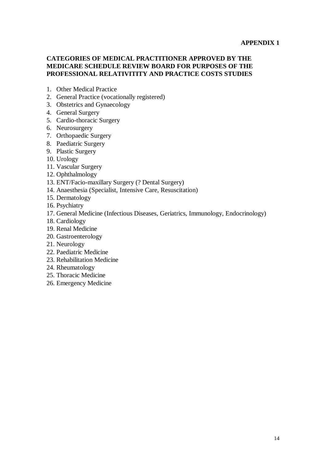#### **APPENDIX 1**

#### **CATEGORIES OF MEDICAL PRACTITIONER APPROVED BY THE MEDICARE SCHEDULE REVIEW BOARD FOR PURPOSES OF THE PROFESSIONAL RELATIVITITY AND PRACTICE COSTS STUDIES**

- 1. Other Medical Practice
- 2. General Practice (vocationally registered)
- 3. Obstetrics and Gynaecology
- 4. General Surgery
- 5. Cardio-thoracic Surgery
- 6. Neurosurgery
- 7. Orthopaedic Surgery
- 8. Paediatric Surgery
- 9. Plastic Surgery
- 10. Urology
- 11. Vascular Surgery
- 12. Ophthalmology
- 13. ENT/Facio-maxillary Surgery (? Dental Surgery)
- 14. Anaesthesia (Specialist, Intensive Care, Resuscitation)
- 15. Dermatology
- 16. Psychiatry
- 17. General Medicine (Infectious Diseases, Geriatrics, Immunology, Endocrinology)
- 18. Cardiology
- 19. Renal Medicine
- 20. Gastroenterology
- 21. Neurology
- 22. Paediatric Medicine
- 23. Rehabilitation Medicine
- 24. Rheumatology
- 25. Thoracic Medicine
- 26. Emergency Medicine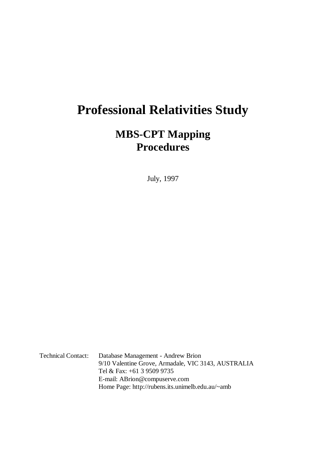# **Professional Relativities Study**

# **MBS-CPT Mapping Procedures**

July, 1997

Technical Contact: Database Management - Andrew Brion 9/10 Valentine Grove, Armadale, VIC 3143, AUSTRALIA Tel & Fax: +61 3 9509 9735 E-mail: ABrion@compuserve.com Home Page: http://rubens.its.unimelb.edu.au/~amb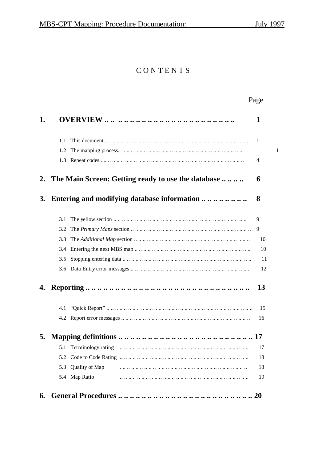# CONTENTS

| 1.1<br>1.2 | 1                                                                                                                                                                                                                                                                                                                                                                                                                                                                                                                                                               |
|------------|-----------------------------------------------------------------------------------------------------------------------------------------------------------------------------------------------------------------------------------------------------------------------------------------------------------------------------------------------------------------------------------------------------------------------------------------------------------------------------------------------------------------------------------------------------------------|
|            |                                                                                                                                                                                                                                                                                                                                                                                                                                                                                                                                                                 |
|            | 1                                                                                                                                                                                                                                                                                                                                                                                                                                                                                                                                                               |
|            | 1                                                                                                                                                                                                                                                                                                                                                                                                                                                                                                                                                               |
| 1.3        | 4                                                                                                                                                                                                                                                                                                                                                                                                                                                                                                                                                               |
|            | 6                                                                                                                                                                                                                                                                                                                                                                                                                                                                                                                                                               |
|            | 8                                                                                                                                                                                                                                                                                                                                                                                                                                                                                                                                                               |
| 3.1        | 9                                                                                                                                                                                                                                                                                                                                                                                                                                                                                                                                                               |
| 3.2        | 9                                                                                                                                                                                                                                                                                                                                                                                                                                                                                                                                                               |
| 3.3        | 10                                                                                                                                                                                                                                                                                                                                                                                                                                                                                                                                                              |
| 3.4        | 10                                                                                                                                                                                                                                                                                                                                                                                                                                                                                                                                                              |
| 3.5        | 11                                                                                                                                                                                                                                                                                                                                                                                                                                                                                                                                                              |
|            | 12                                                                                                                                                                                                                                                                                                                                                                                                                                                                                                                                                              |
|            | 13                                                                                                                                                                                                                                                                                                                                                                                                                                                                                                                                                              |
| 4.1        | 15                                                                                                                                                                                                                                                                                                                                                                                                                                                                                                                                                              |
|            | 16                                                                                                                                                                                                                                                                                                                                                                                                                                                                                                                                                              |
|            |                                                                                                                                                                                                                                                                                                                                                                                                                                                                                                                                                                 |
| 5.1        | 17                                                                                                                                                                                                                                                                                                                                                                                                                                                                                                                                                              |
| 5.2        | 18                                                                                                                                                                                                                                                                                                                                                                                                                                                                                                                                                              |
| 5.3        | 18                                                                                                                                                                                                                                                                                                                                                                                                                                                                                                                                                              |
|            | 19                                                                                                                                                                                                                                                                                                                                                                                                                                                                                                                                                              |
|            | The Main Screen: Getting ready to use the database<br>Entering and modifying database information<br>The Primary Maps section $\dots \dots \dots \dots \dots \dots \dots \dots \dots \dots \dots \dots \dots \dots \dots \dots \dots$<br>The Additional Map section $\dots \dots \dots \dots \dots \dots \dots \dots \dots \dots \dots \dots \dots \dots \dots \dots \dots \dots \dots$<br>Entering the next MBS map $\dots \dots \dots \dots \dots \dots \dots \dots \dots \dots \dots \dots \dots \dots \dots \dots \dots$<br>Quality of Map<br>5.4 Map Ratio |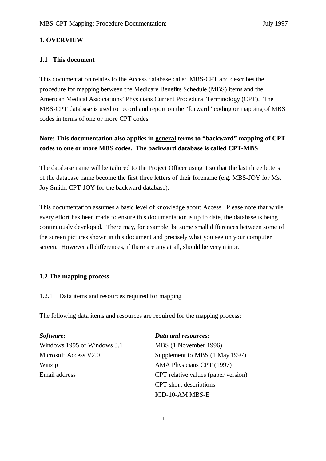#### **1. OVERVIEW**

#### **1.1 This document**

This documentation relates to the Access database called MBS-CPT and describes the procedure for mapping between the Medicare Benefits Schedule (MBS) items and the American Medical Associations' Physicians Current Procedural Terminology (CPT). The MBS-CPT database is used to record and report on the "forward" coding or mapping of MBS codes in terms of one or more CPT codes.

### **Note: This documentation also applies in general terms to "backward" mapping of CPT codes to one or more MBS codes. The backward database is called CPT-MBS**

The database name will be tailored to the Project Officer using it so that the last three letters of the database name become the first three letters of their forename (e.g. MBS-JOY for Ms. Joy Smith; CPT-JOY for the backward database).

This documentation assumes a basic level of knowledge about Access. Please note that while every effort has been made to ensure this documentation is up to date, the database is being continuously developed. There may, for example, be some small differences between some of the screen pictures shown in this document and precisely what you see on your computer screen. However all differences, if there are any at all, should be very minor.

#### **1.2 The mapping process**

1.2.1 Data items and resources required for mapping

The following data items and resources are required for the mapping process:

| Software:                   | Data and resources:                 |
|-----------------------------|-------------------------------------|
| Windows 1995 or Windows 3.1 | MBS (1 November 1996)               |
| Microsoft Access V2.0       | Supplement to MBS (1 May 1997)      |
| Winzip                      | AMA Physicians CPT (1997)           |
| Email address               | CPT relative values (paper version) |
|                             | CPT short descriptions              |
|                             | ICD-10-AM MBS-E                     |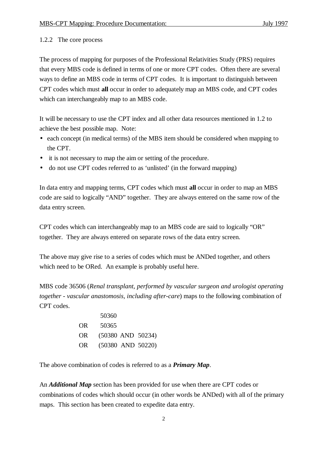#### 1.2.2 The core process

The process of mapping for purposes of the Professional Relativities Study (PRS) requires that every MBS code is defined in terms of one or more CPT codes. Often there are several ways to define an MBS code in terms of CPT codes. It is important to distinguish between CPT codes which must **all** occur in order to adequately map an MBS code, and CPT codes which can interchangeably map to an MBS code.

It will be necessary to use the CPT index and all other data resources mentioned in 1.2 to achieve the best possible map. Note:

- each concept (in medical terms) of the MBS item should be considered when mapping to the CPT.
- it is not necessary to map the aim or setting of the procedure.
- do not use CPT codes referred to as 'unlisted' (in the forward mapping)

In data entry and mapping terms, CPT codes which must **all** occur in order to map an MBS code are said to logically "AND" together. They are always entered on the same row of the data entry screen.

CPT codes which can interchangeably map to an MBS code are said to logically "OR" together. They are always entered on separate rows of the data entry screen.

The above may give rise to a series of codes which must be ANDed together, and others which need to be ORed. An example is probably useful here.

MBS code 36506 (*Renal transplant, performed by vascular surgeon and urologist operating together - vascular anastomosis, including after-care*) maps to the following combination of CPT codes.

|     | 50360 |                       |
|-----|-------|-----------------------|
| OR. | 50365 |                       |
| OR. |       | $(50380$ AND $50234)$ |
| OR. |       | $(50380$ AND $50220)$ |

The above combination of codes is referred to as a *Primary Map*.

An *Additional Map* section has been provided for use when there are CPT codes or combinations of codes which should occur (in other words be ANDed) with all of the primary maps. This section has been created to expedite data entry.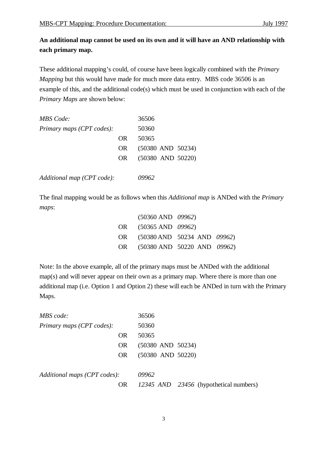### **An additional map cannot be used on its own and it will have an AND relationship with each primary map.**

These additional mapping's could, of course have been logically combined with the *Primary Mapping* but this would have made for much more data entry. MBS code 36506 is an example of this, and the additional code(s) which must be used in conjunction with each of the *Primary Maps* are shown below:

| <b>MBS</b> Code:           |     | 36506                 |
|----------------------------|-----|-----------------------|
| Primary maps (CPT codes):  |     | 50360                 |
|                            | OR. | 50365                 |
|                            | OR. | $(50380$ AND $50234)$ |
|                            | OR  | $(50380$ AND $50220)$ |
|                            |     |                       |
| Additional map (CPT code): |     |                       |

The final mapping would be as follows when this *Additional map* is ANDed with the *Primary maps*:

| $(50360 \text{ AND } 09962)$   |  |
|--------------------------------|--|
| OR (50365 AND 09962)           |  |
| OR (50380 AND 50234 AND 09962) |  |
| OR (50380 AND 50220 AND 09962) |  |

Note: In the above example, all of the primary maps must be ANDed with the additional map(s) and will never appear on their own as a primary map. Where there is more than one additional map (i.e. Option 1 and Option 2) these will each be ANDed in turn with the Primary Maps.

| MBS code:                    | 36506                                  |
|------------------------------|----------------------------------------|
| Primary maps (CPT codes):    | 50360                                  |
| <b>OR</b>                    | 50365                                  |
| <b>OR</b>                    | $(50380$ AND $50234)$                  |
| OR.                          | $(50380$ AND $50220)$                  |
|                              |                                        |
| Additional maps (CPT codes): | 09962                                  |
| <b>OR</b>                    | 12345 AND 23456 (hypothetical numbers) |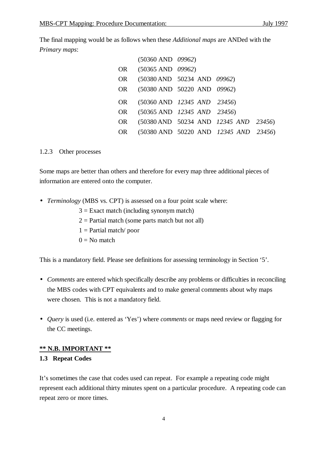The final mapping would be as follows when these *Additional maps* are ANDed with the *Primary maps*:

|    | $(50360 \text{ AND } 09962)$   |                                                 |                                                                    |  |
|----|--------------------------------|-------------------------------------------------|--------------------------------------------------------------------|--|
|    | OR (50365 AND 09962)           |                                                 |                                                                    |  |
| OR |                                | $(50380 \text{ AND } 50234 \text{ AND } 09962)$ |                                                                    |  |
|    | OR (50380 AND 50220 AND 09962) |                                                 |                                                                    |  |
| OR |                                | $(50360 \text{ AND } 12345 \text{ AND } 23456)$ |                                                                    |  |
| OR |                                | $(50365 \text{ AND } 12345 \text{ AND } 23456)$ |                                                                    |  |
|    |                                |                                                 |                                                                    |  |
| OR |                                |                                                 | (50380 AND 50234 AND 12345 AND 23456)                              |  |
| OR |                                |                                                 | $(50380 \text{ AND } 50220 \text{ AND } 12345 \text{ AND } 23456)$ |  |

#### 1.2.3 Other processes

Some maps are better than others and therefore for every map three additional pieces of information are entered onto the computer.

- *Terminology* (MBS vs. CPT) is assessed on a four point scale where:
	- $3 =$  Exact match (including synonym match)
	- $2 =$  Partial match (some parts match but not all)
	- $1 =$  Partial match/ poor
	- $0 = No$  match

This is a mandatory field. Please see definitions for assessing terminology in Section '5'.

- *Comments* are entered which specifically describe any problems or difficulties in reconciling the MBS codes with CPT equivalents and to make general comments about why maps were chosen. This is not a mandatory field.
- *Query* is used (i.e. entered as 'Yes') where *comments* or maps need review or flagging for the CC meetings.

#### **\*\* N.B. IMPORTANT \*\***

#### **1.3 Repeat Codes**

It's sometimes the case that codes used can repeat. For example a repeating code might represent each additional thirty minutes spent on a particular procedure. A repeating code can repeat zero or more times.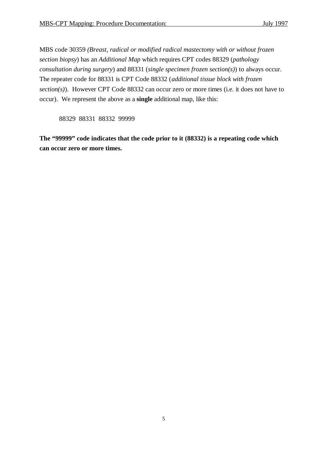MBS code 30359 *(Breast, radical or modified radical mastectomy with or without frozen section biopsy*) has an *Additional Map* which requires CPT codes 88329 (*pathology consultation during surgery*) and 88331 (*single specimen frozen section(s)*) to always occur. The repeater code for 88331 is CPT Code 88332 (*additional tissue block with frozen section(s)*). However CPT Code 88332 can occur zero or more times (i.e. it does not have to occur). We represent the above as a **single** additional map, like this:

88329 88331 88332 99999

**The "99999" code indicates that the code prior to it (88332) is a repeating code which can occur zero or more times.**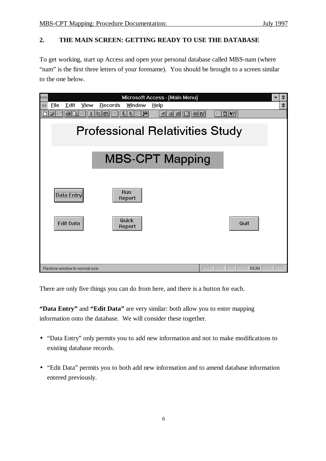#### **2. THE MAIN SCREEN: GETTING READY TO USE THE DATABASE**

To get working, start up Access and open your personal database called MBS-nam (where "nam" is the first three letters of your forename). You should be brought to a screen similar to the one below.



There are only five things you can do from here, and there is a button for each.

**"Data Entry"** and **"Edit Data"** are very similar: both allow you to enter mapping information onto the database. We will consider these together.

- "Data Entry" only permits you to add new information and not to make modifications to existing database records.
- "Edit Data" permits you to both add new information and to amend database information entered previously.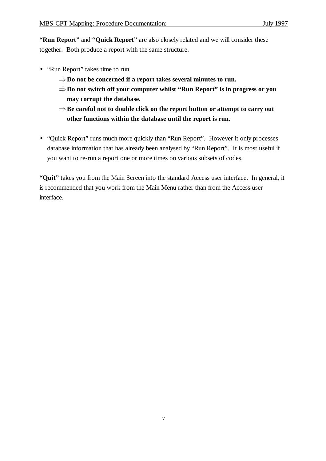**"Run Report"** and **"Quick Report"** are also closely related and we will consider these together. Both produce a report with the same structure.

- "Run Report" takes time to run.
	- $\Rightarrow$  Do not be concerned if a report takes several minutes to run.
	- **Do not switch off your computer whilst "Run Report" is in progress or you may corrupt the database.**
	- $\Rightarrow$  Be careful not to double click on the report button or attempt to carry out **other functions within the database until the report is run.**
- "Quick Report" runs much more quickly than "Run Report". However it only processes database information that has already been analysed by "Run Report". It is most useful if you want to re-run a report one or more times on various subsets of codes.

**"Quit"** takes you from the Main Screen into the standard Access user interface. In general, it is recommended that you work from the Main Menu rather than from the Access user interface.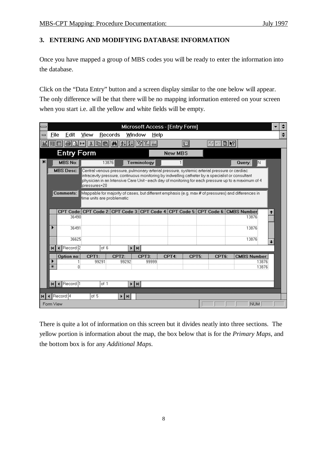#### **3. ENTERING AND MODIFYING DATABASE INFORMATION**

Once you have mapped a group of MBS codes you will be ready to enter the information into the database.

Click on the "Data Entry" button and a screen display similar to the one below will appear. The only difference will be that there will be no mapping information entered on your screen when you start i.e. all the yellow and white fields will be empty.

|    |                   |                                   |               |           |                                                                                                                                                                                                         | Microsoft Access - [Entry Form]                 |         |         |       |                    |                             |                     |            |                      |        |
|----|-------------------|-----------------------------------|---------------|-----------|---------------------------------------------------------------------------------------------------------------------------------------------------------------------------------------------------------|-------------------------------------------------|---------|---------|-------|--------------------|-----------------------------|---------------------|------------|----------------------|--------|
|    | File              | Edit                              | View          |           | Records                                                                                                                                                                                                 | Window                                          | $He$ lp |         |       |                    |                             |                     |            |                      | $\div$ |
|    |                   |                                   |               | $x$ a $a$ | $\left \frac{\mathbf{A}}{2}\right \left \frac{1}{2}\right \left \frac{1}{2}\right \left \frac{1}{2}\right \left \frac{1}{2}\right $                                                                     |                                                 |         |         | đ     |                    | $\mathbb{Z}$ $\mathbb{R}^2$ |                     |            |                      |        |
|    |                   | <b>Entry Form</b>                 |               |           |                                                                                                                                                                                                         |                                                 |         | New MBS |       |                    |                             |                     |            |                      |        |
| H. |                   | <b>MBS No:</b>                    |               | 13876     |                                                                                                                                                                                                         | Terminology                                     |         |         |       |                    |                             | Query:              | N          |                      |        |
|    |                   | <b>MBS Desc:</b>                  |               |           | Central venous pressure, pulmonary arterial pressure, systemic arterial pressure or cardiac                                                                                                             |                                                 |         |         |       |                    |                             |                     |            |                      |        |
|    |                   |                                   | lpressures=20 |           | intracavity pressure, continuous monitoring by indwelling catheter by a specialist or consultant<br>physician in an Intensive Care Unit - each day of monitoring for each pressure up to a maximum of 4 |                                                 |         |         |       |                    |                             |                     |            |                      |        |
|    |                   | Comments:                         |               |           | Mappable for majority of cases, but different emphasis (e.g. max # of pressures) and differences in                                                                                                     |                                                 |         |         |       |                    |                             |                     |            |                      |        |
|    |                   |                                   |               |           | time units are problematic                                                                                                                                                                              |                                                 |         |         |       |                    |                             |                     |            |                      |        |
|    |                   |                                   |               |           | CPT Code: CPT Code 2: CPT Code 3: CPT Code 4: CPT Code 5: CPT Code 6: CMBS Number                                                                                                                       |                                                 |         |         |       |                    |                             |                     |            | ←                    |        |
|    |                   | 36490                             |               |           |                                                                                                                                                                                                         |                                                 |         |         |       |                    |                             | 13876               |            |                      |        |
|    | ▶                 | 36491                             |               |           |                                                                                                                                                                                                         |                                                 |         |         |       |                    |                             | 13876               |            |                      |        |
|    |                   |                                   |               |           |                                                                                                                                                                                                         |                                                 |         |         |       |                    |                             |                     |            |                      |        |
|    |                   | 36625                             |               |           |                                                                                                                                                                                                         |                                                 |         |         |       |                    |                             | 13876               |            | $\ddot{\phantom{1}}$ |        |
|    | 4                 | Record: 2<br>$\blacktriangleleft$ |               | of 6      |                                                                                                                                                                                                         | $\blacktriangleright$ $\parallel$ H $\parallel$ |         |         |       |                    |                             |                     |            |                      |        |
|    | ▸                 | Option no:                        | CPT1:         | 99291     | CPT <sub>2</sub> :<br>99292                                                                                                                                                                             | CPT3:<br>99999                                  |         | CPT4:   | CPT5: | CPT <sub>6</sub> : |                             | <b>CMBS Number:</b> | 13876      |                      |        |
|    | $\overline{\ast}$ |                                   | O.            |           |                                                                                                                                                                                                         |                                                 |         |         |       |                    |                             |                     | 13876      |                      |        |
|    |                   |                                   |               |           |                                                                                                                                                                                                         |                                                 |         |         |       |                    |                             |                     |            |                      |        |
|    | $\mathbf{H}$      | 4 Record: 1                       |               | of 1      |                                                                                                                                                                                                         | $\blacktriangleright$ $\parallel$ M $\parallel$ |         |         |       |                    |                             |                     |            |                      |        |
|    |                   |                                   |               |           |                                                                                                                                                                                                         |                                                 |         |         |       |                    |                             |                     |            |                      |        |
|    |                   | $\triangleleft$ Record: 4         | of 5          |           | ĐИ                                                                                                                                                                                                      |                                                 |         |         |       |                    |                             |                     |            |                      |        |
|    | Form View         |                                   |               |           |                                                                                                                                                                                                         |                                                 |         |         |       |                    |                             |                     | <b>NUM</b> |                      |        |

There is quite a lot of information on this screen but it divides neatly into three sections. The yellow portion is information about the map, the box below that is for the *Primary Maps*, and the bottom box is for any *Additional Maps*.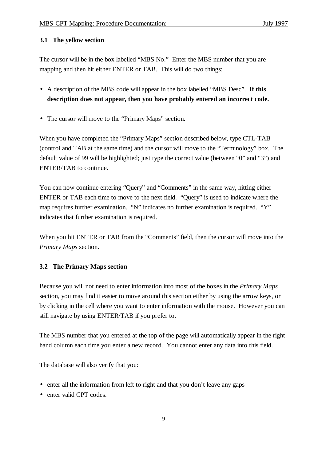#### **3.1 The yellow section**

The cursor will be in the box labelled "MBS No." Enter the MBS number that you are mapping and then hit either ENTER or TAB. This will do two things:

- A description of the MBS code will appear in the box labelled "MBS Desc". **If this description does not appear, then you have probably entered an incorrect code.**
- The cursor will move to the "Primary Maps" section.

When you have completed the "Primary Maps" section described below, type CTL-TAB (control and TAB at the same time) and the cursor will move to the "Terminology" box. The default value of 99 will be highlighted; just type the correct value (between "0" and "3") and ENTER/TAB to continue.

You can now continue entering "Query" and "Comments" in the same way, hitting either ENTER or TAB each time to move to the next field. "Query" is used to indicate where the map requires further examination. "N" indicates no further examination is required. "Y" indicates that further examination is required.

When you hit ENTER or TAB from the "Comments" field, then the cursor will move into the *Primary Maps* section.

#### **3.2 The Primary Maps section**

Because you will not need to enter information into most of the boxes in the *Primary Maps* section, you may find it easier to move around this section either by using the arrow keys, or by clicking in the cell where you want to enter information with the mouse. However you can still navigate by using ENTER/TAB if you prefer to.

The MBS number that you entered at the top of the page will automatically appear in the right hand column each time you enter a new record. You cannot enter any data into this field.

The database will also verify that you:

- enter all the information from left to right and that you don't leave any gaps
- enter valid CPT codes.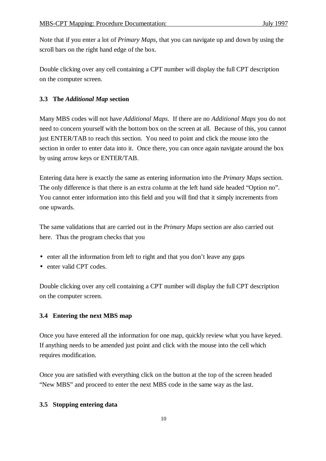Note that if you enter a lot of *Primary Maps*, that you can navigate up and down by using the scroll bars on the right hand edge of the box.

Double clicking over any cell containing a CPT number will display the full CPT description on the computer screen.

#### **3.3 The** *Additional Map* **section**

Many MBS codes will not have *Additional Maps*. If there are no *Additional Maps* you do not need to concern yourself with the bottom box on the screen at all. Because of this, you cannot just ENTER/TAB to reach this section. You need to point and click the mouse into the section in order to enter data into it. Once there, you can once again navigate around the box by using arrow keys or ENTER/TAB.

Entering data here is exactly the same as entering information into the *Primary Maps* section. The only difference is that there is an extra column at the left hand side headed "Option no". You cannot enter information into this field and you will find that it simply increments from one upwards.

The same validations that are carried out in the *Primary Maps* section are also carried out here. Thus the program checks that you

- enter all the information from left to right and that you don't leave any gaps
- enter valid CPT codes.

Double clicking over any cell containing a CPT number will display the full CPT description on the computer screen.

#### **3.4 Entering the next MBS map**

Once you have entered all the information for one map, quickly review what you have keyed. If anything needs to be amended just point and click with the mouse into the cell which requires modification.

Once you are satisfied with everything click on the button at the top of the screen headed "New MBS" and proceed to enter the next MBS code in the same way as the last.

#### **3.5 Stopping entering data**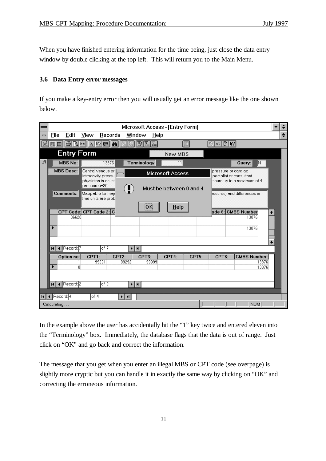When you have finished entering information for the time being, just close the data entry window by double clicking at the top left. This will return you to the Main Menu.

#### **3.6 Data Entry error messages**

If you make a key-entry error then you will usually get an error message like the one shown below.

|              |             |                             |               |                                                |                                                | Microsoft Access - [Entry Form]                                   |                         |       |                                                |                                                                      |                      |  |
|--------------|-------------|-----------------------------|---------------|------------------------------------------------|------------------------------------------------|-------------------------------------------------------------------|-------------------------|-------|------------------------------------------------|----------------------------------------------------------------------|----------------------|--|
| $\equiv$     | <b>File</b> | Edit                        | View          | Records                                        |                                                | Window<br>$He$ lp                                                 |                         |       |                                                |                                                                      |                      |  |
|              | ▦           |                             | ¥,            | ie C                                           | $ \boldsymbol{\theta} $<br>$\frac{Z}{A}$<br>今山 | VE.<br>$\mathbb{Z}$                                               |                         | 徊     | $\frac{1}{2}$                                  |                                                                      |                      |  |
|              |             | <b>Entry Form</b>           |               |                                                |                                                |                                                                   | <b>New MBS</b>          |       |                                                |                                                                      |                      |  |
| $\sqrt{2}$   |             | <b>MBS No:</b>              |               | 13876                                          |                                                | Terminology                                                       | 11                      |       |                                                | N<br>Query:                                                          |                      |  |
|              |             | <b>MBS Desc:</b>            |               | Central venous pr<br>intracavity pressu        |                                                |                                                                   | <b>Microsoft Access</b> |       | pressure or cardiac<br>pecialist or consultant |                                                                      |                      |  |
|              |             | <b>Comments:</b>            | lpressures=20 | physician in an Int<br>Mappable for maji       |                                                |                                                                   | Must be between 0 and 4 |       |                                                | ssure up to a maximum of 4<br>$\mathsf k$ ssures) and differences in |                      |  |
|              |             |                             |               | time units are prob<br>CPT Code: CPT Code 2: C |                                                | OK.                                                               | Help                    |       |                                                | pde 6: CMBS Number                                                   |                      |  |
|              |             | 36620                       |               |                                                |                                                |                                                                   |                         |       |                                                | 13876<br>13876                                                       | $\uparrow$           |  |
|              |             |                             |               |                                                |                                                |                                                                   |                         |       |                                                |                                                                      | $\ddot{\phantom{0}}$ |  |
|              |             | III + Record: 7             |               | of 7                                           | ⊁‡H                                            |                                                                   |                         |       |                                                |                                                                      |                      |  |
|              |             | Option no:<br>1<br>$\Omega$ | CPT1:         | 99291                                          | CPT <sub>2</sub> :<br>99292                    | CPT3:<br>99999                                                    | CPT4:                   | CPT5: | CPT <sub>6</sub> :                             | <b>CMBS Number:</b><br>13876<br>13876                                |                      |  |
|              |             |                             |               |                                                |                                                |                                                                   |                         |       |                                                |                                                                      |                      |  |
|              |             | $H$ 4 Record: 2             |               | of $2$                                         |                                                | $\blacktriangleright$ $\blacktriangleright$ $\blacktriangleright$ |                         |       |                                                |                                                                      |                      |  |
| $\mathbf{H}$ | Record: 4   |                             | of 4          |                                                | ⊧Нн                                            |                                                                   |                         |       |                                                |                                                                      |                      |  |
|              | Calculating |                             |               |                                                |                                                |                                                                   |                         |       |                                                | <b>NUM</b>                                                           |                      |  |

In the example above the user has accidentally hit the "1" key twice and entered eleven into the "Terminology" box. Immediately, the database flags that the data is out of range. Just click on "OK" and go back and correct the information.

The message that you get when you enter an illegal MBS or CPT code (see overpage) is slightly more cryptic but you can handle it in exactly the same way by clicking on "OK" and correcting the erroneous information.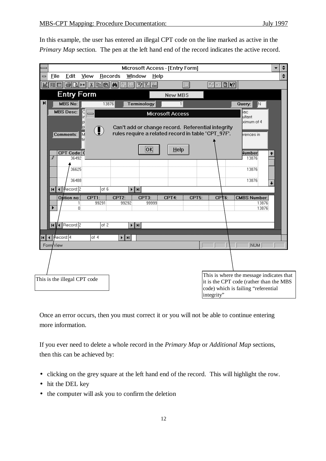In this example, the user has entered an illegal CPT code on the line marked as active in the *Primary Map* section. The pen at the left hand end of the record indicates the active record.

|     |                                       |                                                                 |                              |                                     |                                                                                                         |                                                                   |       | Microsoft Access - [Entry Form] |       |            |                              |                                                                                     |            |             |  |
|-----|---------------------------------------|-----------------------------------------------------------------|------------------------------|-------------------------------------|---------------------------------------------------------------------------------------------------------|-------------------------------------------------------------------|-------|---------------------------------|-------|------------|------------------------------|-------------------------------------------------------------------------------------|------------|-------------|--|
| $=$ | <b>File</b>                           | Edit                                                            | View                         | Records                             |                                                                                                         | Window                                                            | Help  |                                 |       |            |                              |                                                                                     |            |             |  |
| 図   | 国画                                    | $\boxed{\text{A} \text{A}}$                                     |                              |                                     | <u>XBBM2IVIII</u>                                                                                       |                                                                   |       |                                 | 徊     |            | $\sqrt{2}$ or $2$ $\sqrt{2}$ |                                                                                     |            |             |  |
|     |                                       |                                                                 | <b>Entry Form</b>            |                                     |                                                                                                         |                                                                   |       | <b>New MBS</b>                  |       |            |                              |                                                                                     |            |             |  |
| N   |                                       | <b>MBS No:</b>                                                  |                              | 13876                               |                                                                                                         | <b>Terminology</b>                                                |       |                                 |       |            |                              | Query:                                                                              | N          |             |  |
|     |                                       | <b>MBS Desc:</b>                                                |                              |                                     |                                                                                                         |                                                                   |       | <b>Microsoft Access</b>         |       |            |                              | iac<br>ultant                                                                       |            |             |  |
|     |                                       |                                                                 | р                            |                                     |                                                                                                         |                                                                   |       |                                 |       |            |                              | ximum of 4                                                                          |            |             |  |
|     |                                       |                                                                 | p                            | $\bigcirc \hspace{-2.5mm} \bigcirc$ | Can't add or change record. Referential integrity<br>rules require a related record in table 'CPT_97F'. |                                                                   |       |                                 |       |            |                              |                                                                                     |            |             |  |
|     |                                       | Comments:                                                       | М<br>tir                     |                                     |                                                                                                         |                                                                   |       |                                 |       |            |                              | rences in                                                                           |            |             |  |
|     |                                       |                                                                 |                              |                                     |                                                                                                         |                                                                   | ļΟK.  | Help                            |       |            |                              |                                                                                     |            |             |  |
|     | .0                                    | CPT Code: 0<br>36492                                            |                              |                                     |                                                                                                         |                                                                   |       |                                 |       |            |                              | <b>Number</b><br>13876                                                              |            | ↑           |  |
|     |                                       | 36625                                                           |                              |                                     |                                                                                                         |                                                                   |       |                                 |       |            |                              | 13876                                                                               |            |             |  |
|     |                                       |                                                                 |                              |                                     |                                                                                                         |                                                                   |       |                                 |       |            |                              |                                                                                     |            |             |  |
|     |                                       | 36488                                                           |                              |                                     |                                                                                                         |                                                                   |       |                                 |       |            |                              | 13876                                                                               |            | $\ddotmark$ |  |
|     |                                       | $H$ $\overline{4}$ $\overline{4}$ $\overline{4}$ $\overline{2}$ |                              | of 6                                |                                                                                                         | $\blacktriangleright$ $\blacktriangleright$ $\blacktriangleright$ |       |                                 |       |            |                              |                                                                                     |            |             |  |
|     |                                       | Option no:                                                      | CPT1:<br>1                   | 99291                               | CPT <sub>2</sub> :<br>99292                                                                             | CPT3:                                                             | 99999 | CPT4:                           | CPT5: |            | CPT <sub>6:</sub>            | <b>CMBS Number:</b>                                                                 | 13876      |             |  |
|     | ▸                                     |                                                                 | 0                            |                                     |                                                                                                         |                                                                   |       |                                 |       |            |                              |                                                                                     | 13876      |             |  |
|     |                                       |                                                                 |                              |                                     |                                                                                                         |                                                                   |       |                                 |       |            |                              |                                                                                     |            |             |  |
|     |                                       | <b>NV</b> Record: 2                                             |                              | of $2$                              |                                                                                                         | $\blacktriangleright$ $\vert$ H $\vert$                           |       |                                 |       |            |                              |                                                                                     |            |             |  |
| нI  | ∣∄ecord: 4<br>$\overline{\mathbf{f}}$ |                                                                 | of 4                         |                                     | $\blacktriangleright$ $\blacktriangleright$ $\blacktriangleright$                                       |                                                                   |       |                                 |       |            |                              |                                                                                     |            |             |  |
|     | Form/View                             |                                                                 |                              |                                     |                                                                                                         |                                                                   |       |                                 |       |            |                              |                                                                                     | <b>NUM</b> |             |  |
|     |                                       |                                                                 |                              |                                     |                                                                                                         |                                                                   |       |                                 |       |            |                              |                                                                                     |            |             |  |
|     |                                       |                                                                 |                              |                                     |                                                                                                         |                                                                   |       |                                 |       |            |                              |                                                                                     |            |             |  |
|     |                                       |                                                                 |                              |                                     |                                                                                                         |                                                                   |       |                                 |       |            |                              |                                                                                     |            |             |  |
|     |                                       |                                                                 | This is the illegal CPT code |                                     |                                                                                                         |                                                                   |       |                                 |       |            |                              | This is where the message indicates that<br>it is the CPT code (rather than the MBS |            |             |  |
|     |                                       |                                                                 |                              |                                     |                                                                                                         |                                                                   |       |                                 |       |            |                              | code) which is failing "referential                                                 |            |             |  |
|     |                                       |                                                                 |                              |                                     |                                                                                                         |                                                                   |       |                                 |       | integrity" |                              |                                                                                     |            |             |  |

Once an error occurs, then you must correct it or you will not be able to continue entering more information.

If you ever need to delete a whole record in the *Primary Map* or *Additional Map* sections, then this can be achieved by:

- clicking on the grey square at the left hand end of the record. This will highlight the row.
- hit the DEL key
- the computer will ask you to confirm the deletion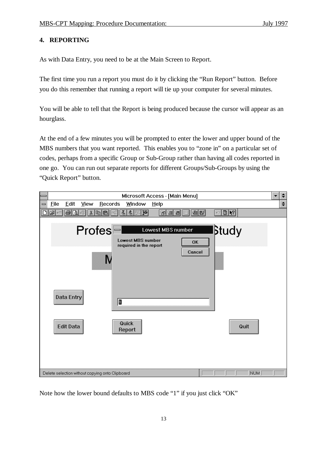#### **4. REPORTING**

As with Data Entry, you need to be at the Main Screen to Report.

The first time you run a report you must do it by clicking the "Run Report" button. Before you do this remember that running a report will tie up your computer for several minutes.

You will be able to tell that the Report is being produced because the cursor will appear as an hourglass.

At the end of a few minutes you will be prompted to enter the lower and upper bound of the MBS numbers that you want reported. This enables you to "zone in" on a particular set of codes, perhaps from a specific Group or Sub-Group rather than having all codes reported in one go. You can run out separate reports for different Groups/Sub-Groups by using the "Quick Report" button.

|                              |             |                                |           |                                                 | Microsoft Access - [Main Menu]                                   |                   |                     |               |        |            | $\div$             |
|------------------------------|-------------|--------------------------------|-----------|-------------------------------------------------|------------------------------------------------------------------|-------------------|---------------------|---------------|--------|------------|--------------------|
| $\qquad \qquad \blacksquare$ | <b>File</b> | Edit                           | View      | Records                                         | Window                                                           | Help              |                     |               |        |            | $\hat{\mathbf{z}}$ |
|                              | el<br>中田    | 4<br>$\mathbb{Z}$              | ¥,<br>ver | hici<br>leg                                     | 白曜<br>회<br>$ \mathbf{x} $                                        | 御個                | 御話<br>圖<br>眶        | $\sim$ 0 $\,$ |        |            |                    |
|                              |             | Data Entry<br><b>Edit Data</b> |           | $Profes =$                                      | <b>Lowest MBS number</b><br>required in the report<br>0<br>Quick | Lowest MBS number | <b>OK</b><br>Cancel |               | ∣βtudy | Quit       |                    |
|                              |             |                                |           |                                                 | Report                                                           |                   |                     |               |        |            |                    |
|                              |             |                                |           |                                                 |                                                                  |                   |                     |               |        |            |                    |
|                              |             |                                |           | Delete selection without copying onto Clipboard |                                                                  |                   |                     |               |        | <b>NUM</b> |                    |

Note how the lower bound defaults to MBS code "1" if you just click "OK"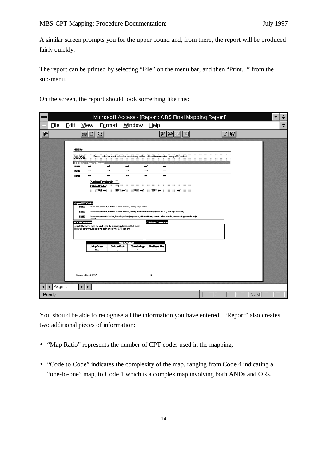A similar screen prompts you for the upper bound and, from there, the report will be produced fairly quickly.

The report can be printed by selecting "File" on the menu bar, and then "Print..." from the sub-menu.

On the screen, the report should look something like this:

|                              |             |                                       |                                                                                                                                                                        |                                                                                                                                                                                                                                                      |                                                                                                                                                          | Microsoft Access - [Report: ORS Final Mapping Report]                                                                                                                                                                                                                                                                                                                                                                                                             |              |                            |            | ÷      |
|------------------------------|-------------|---------------------------------------|------------------------------------------------------------------------------------------------------------------------------------------------------------------------|------------------------------------------------------------------------------------------------------------------------------------------------------------------------------------------------------------------------------------------------------|----------------------------------------------------------------------------------------------------------------------------------------------------------|-------------------------------------------------------------------------------------------------------------------------------------------------------------------------------------------------------------------------------------------------------------------------------------------------------------------------------------------------------------------------------------------------------------------------------------------------------------------|--------------|----------------------------|------------|--------|
| $\qquad \qquad \blacksquare$ | <b>File</b> | Edit                                  | <b>View</b>                                                                                                                                                            | Format                                                                                                                                                                                                                                               | <u>W</u> indow                                                                                                                                           | Help                                                                                                                                                                                                                                                                                                                                                                                                                                                              |              |                            |            | $\div$ |
| $\mathbb{R}$                 |             |                                       |                                                                                                                                                                        |                                                                                                                                                                                                                                                      |                                                                                                                                                          | $\mathcal{U}$<br>図                                                                                                                                                                                                                                                                                                                                                                                                                                                | H<br>印       | $\blacktriangleright$<br>Ø |            |        |
| $\vert \vert$                | ∥Page: 6    | <b>MBSNb</b><br>132D<br>13230<br>1330 | 30359<br><b>CFT Cale&gt; Rimay Maying</b><br>ىم<br>ت<br>پ<br>Keyto CPT Codes<br>1320<br>13230<br>1320<br>murcle<br><b>NCCH Connects</b><br>Mandoy, Ady 14, 1997<br>E E | س<br>س<br>س<br><b>Additional Magaings</b><br>Optim Number<br>38329 W.K<br>Depite themany possible ands sets, this is assundimap in that most<br>likely all cases would be awared in one of the CPT aptions.<br>MapRatio<br>Cate to Cate<br>1:03<br>2 | س<br>س<br>س<br>88331 Com<br>3832 W.<br>Martectamy, redicel, in cluding perclared murreler, exillery lymph nader<br><b>Map Gradings</b><br>Teninday:<br>4 | Breat, radical or modified radical masted any with a without frozen section biopay=20(Accist);<br>ىم<br>س<br>-<br>س<br>ىم<br>س<br>33339 am<br>Martectamy, redical, in cluding percharal murreles, exillary and internal mammary lymph nades: (Urban type aperation)<br>Mertecteny, medified redical, including collary lymph reder, with an without pectandir minor muncle, but excluding pectandir major<br>Clinician Comments<br><b>Guilty of Map</b><br>6<br>4 | <b>MARCO</b> |                            |            |        |
|                              | Ready       |                                       |                                                                                                                                                                        |                                                                                                                                                                                                                                                      |                                                                                                                                                          |                                                                                                                                                                                                                                                                                                                                                                                                                                                                   |              |                            | <b>NUM</b> |        |

You should be able to recognise all the information you have entered. "Report" also creates two additional pieces of information:

- "Map Ratio" represents the number of CPT codes used in the mapping.
- "Code to Code" indicates the complexity of the map, ranging from Code 4 indicating a "one-to-one" map, to Code 1 which is a complex map involving both ANDs and ORs.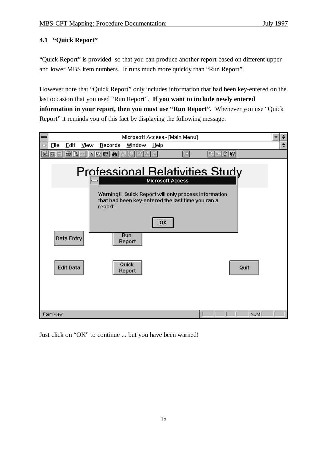#### **4.1 "Quick Report"**

"Quick Report" is provided so that you can produce another report based on different upper and lower MBS item numbers. It runs much more quickly than "Run Report".

However note that "Quick Report" only includes information that had been key-entered on the last occasion that you used "Run Report". **If you want to include newly entered information in your report, then you must use "Run Report".** Whenever you use "Quick Report" it reminds you of this fact by displaying the following message.



Just click on "OK" to continue ... but you have been warned!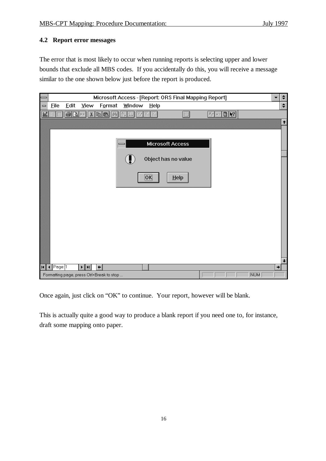### **4.2 Report error messages**

The error that is most likely to occur when running reports is selecting upper and lower bounds that exclude all MBS codes. If you accidentally do this, you will receive a message similar to the one shown below just before the report is produced.

| =                            |                                     |                   |                                                 |                                           |                                     |                                              | Microsoft Access - [Report: ORS Final Mapping Report] |                                                 |            |               |                      |
|------------------------------|-------------------------------------|-------------------|-------------------------------------------------|-------------------------------------------|-------------------------------------|----------------------------------------------|-------------------------------------------------------|-------------------------------------------------|------------|---------------|----------------------|
| $\qquad \qquad \blacksquare$ | <b>File</b>                         | Edit              | View                                            | Format                                    | Window                              | Help                                         |                                                       |                                                 |            |               | $\spadesuit$         |
| $\mathbb{R}$                 | 睚                                   | 4<br>$\mathbb{Z}$ |                                                 | $\mathbf{k}$ b $\mathbf{a}$<br>峰          | $\frac{Z}{A}$<br>$\frac{A}{Z}$<br>V | K<br>¥                                       | 洞                                                     | $\circ$ 0 $\cdot$<br>$\mathbb{X}_{\mathcal{J}}$ |            |               |                      |
|                              |                                     |                   |                                                 |                                           |                                     |                                              |                                                       |                                                 |            |               | $\ddot{\phantom{1}}$ |
|                              |                                     |                   |                                                 |                                           |                                     |                                              |                                                       |                                                 |            |               |                      |
|                              |                                     |                   |                                                 |                                           |                                     |                                              | <b>Microsoft Access</b>                               |                                                 |            |               |                      |
|                              |                                     |                   |                                                 |                                           |                                     |                                              | Object has no value                                   |                                                 |            |               |                      |
|                              |                                     |                   |                                                 |                                           |                                     |                                              |                                                       |                                                 |            |               |                      |
|                              |                                     |                   |                                                 |                                           |                                     | $\overline{\overline{\mathsf{O}}\mathsf{K}}$ | $Help$                                                |                                                 |            |               |                      |
|                              |                                     |                   |                                                 |                                           |                                     |                                              |                                                       |                                                 |            |               |                      |
|                              |                                     |                   |                                                 |                                           |                                     |                                              |                                                       |                                                 |            |               |                      |
|                              |                                     |                   |                                                 |                                           |                                     |                                              |                                                       |                                                 |            |               |                      |
|                              |                                     |                   |                                                 |                                           |                                     |                                              |                                                       |                                                 |            |               |                      |
|                              |                                     |                   |                                                 |                                           |                                     |                                              |                                                       |                                                 |            |               |                      |
|                              |                                     |                   |                                                 |                                           |                                     |                                              |                                                       |                                                 |            |               |                      |
|                              |                                     |                   |                                                 |                                           |                                     |                                              |                                                       |                                                 |            |               |                      |
|                              |                                     |                   |                                                 |                                           |                                     |                                              |                                                       |                                                 |            |               |                      |
|                              |                                     |                   |                                                 |                                           |                                     |                                              |                                                       |                                                 |            |               | $\ddot{\phantom{1}}$ |
| A                            | $\sqrt{\left \text{Page}\right }$ 1 |                   | $\blacktriangleright$ $\parallel$ H $\parallel$ | $\leftarrow$                              |                                     |                                              |                                                       |                                                 |            | $\rightarrow$ |                      |
|                              |                                     |                   |                                                 | Formatting page, press Ctrl+Break to stop |                                     |                                              |                                                       |                                                 | <b>NUM</b> |               |                      |

Once again, just click on "OK" to continue. Your report, however will be blank.

This is actually quite a good way to produce a blank report if you need one to, for instance, draft some mapping onto paper.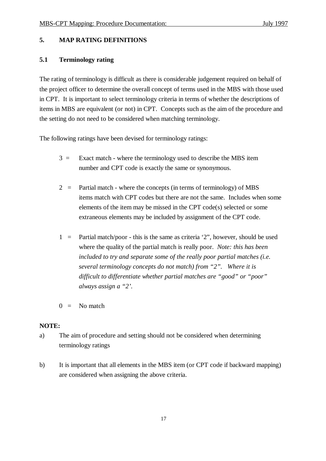#### **5. MAP RATING DEFINITIONS**

#### **5.1 Terminology rating**

The rating of terminology is difficult as there is considerable judgement required on behalf of the project officer to determine the overall concept of terms used in the MBS with those used in CPT. It is important to select terminology criteria in terms of whether the descriptions of items in MBS are equivalent (or not) in CPT. Concepts such as the aim of the procedure and the setting do not need to be considered when matching terminology.

The following ratings have been devised for terminology ratings:

- $3 =$  Exact match where the terminology used to describe the MBS item number and CPT code is exactly the same or synonymous.
- $2 =$  Partial match where the concepts (in terms of terminology) of MBS items match with CPT codes but there are not the same. Includes when some elements of the item may be missed in the CPT code(s) selected or some extraneous elements may be included by assignment of the CPT code.
- 1 = Partial match/poor this is the same as criteria  $2$ ", however, should be used where the quality of the partial match is really poor. *Note: this has been included to try and separate some of the really poor partial matches (i.e. several terminology concepts do not match) from "2". Where it is difficult to differentiate whether partial matches are "good" or "poor" always assign a "2'.*
- $0 =$ No match

#### **NOTE:**

- a) The aim of procedure and setting should not be considered when determining terminology ratings
- b) It is important that all elements in the MBS item (or CPT code if backward mapping) are considered when assigning the above criteria.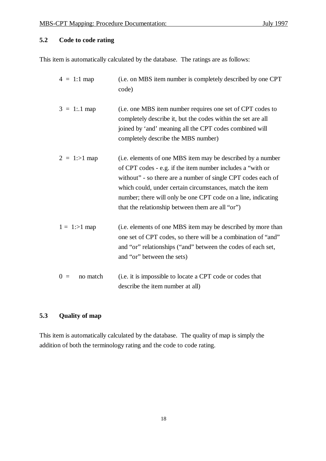### **5.2 Code to code rating**

This item is automatically calculated by the database. The ratings are as follows:

| $4 = 1:1$ map     | (i.e. on MBS item number is completely described by one CPT<br>code)                                                                                                                                                                                                                                                                                                       |
|-------------------|----------------------------------------------------------------------------------------------------------------------------------------------------------------------------------------------------------------------------------------------------------------------------------------------------------------------------------------------------------------------------|
| $3 = 1:1$ map     | (i.e. one MBS item number requires one set of CPT codes to<br>completely describe it, but the codes within the set are all<br>joined by 'and' meaning all the CPT codes combined will<br>completely describe the MBS number)                                                                                                                                               |
| $2 = 1:>1$ map    | (i.e. elements of one MBS item may be described by a number<br>of CPT codes - e.g. if the item number includes a "with or<br>without" - so there are a number of single CPT codes each of<br>which could, under certain circumstances, match the item<br>number; there will only be one CPT code on a line, indicating<br>that the relationship between them are all "or") |
| $1 = 1 > 1$ map   | (i.e. elements of one MBS item may be described by more than<br>one set of CPT codes, so there will be a combination of "and"<br>and "or" relationships ("and" between the codes of each set,<br>and "or" between the sets)                                                                                                                                                |
| $0 =$<br>no match | (i.e. it is impossible to locate a CPT code or codes that<br>describe the item number at all)                                                                                                                                                                                                                                                                              |

### **5.3 Quality of map**

This item is automatically calculated by the database. The quality of map is simply the addition of both the terminology rating and the code to code rating.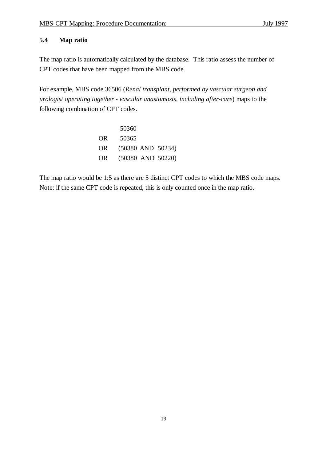#### **5.4 Map ratio**

The map ratio is automatically calculated by the database. This ratio assess the number of CPT codes that have been mapped from the MBS code.

For example, MBS code 36506 (*Renal transplant, performed by vascular surgeon and urologist operating together - vascular anastomosis, including after-care*) maps to the following combination of CPT codes.

|           | 50360                 |
|-----------|-----------------------|
| <b>OR</b> | 50365                 |
| OR.       | $(50380$ AND $50234)$ |
| OR.       | $(50380$ AND $50220)$ |

The map ratio would be 1:5 as there are 5 distinct CPT codes to which the MBS code maps. Note: if the same CPT code is repeated, this is only counted once in the map ratio.